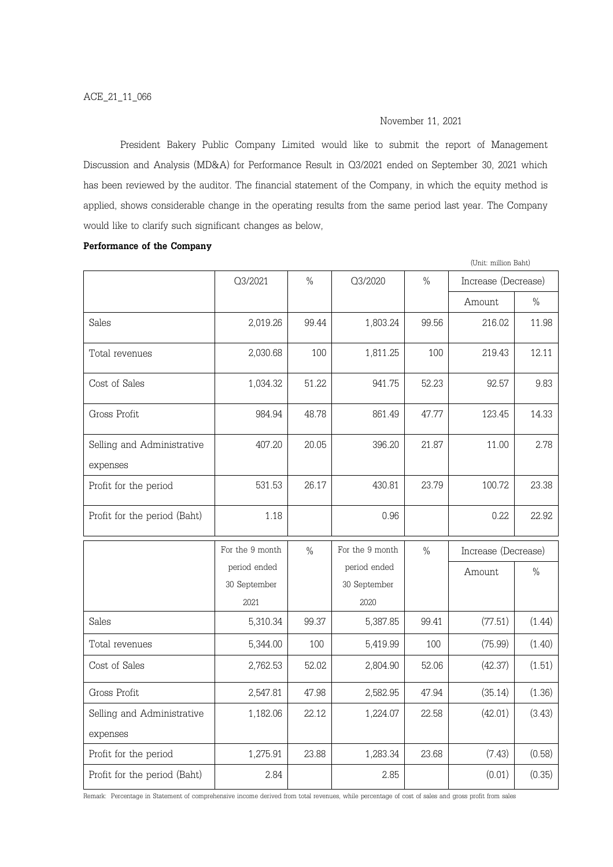# November 11, 2021

President Bakery Public Company Limited would like to submit the report of Management Discussion and Analysis (MD&A) for Performance Result in Q3/2021 ended on September 30, 2021 which has been reviewed by the auditor. The financial statement of the Company, in which the equity method is applied, shows considerable change in the operating results from the same period last year. The Company would like to clarify such significant changes as below,

### Performance of the Company

|                                        |                 |               |                 |               | (Unit: million Baht) |               |  |
|----------------------------------------|-----------------|---------------|-----------------|---------------|----------------------|---------------|--|
|                                        | O3/2021         | $\frac{0}{0}$ | O3/2020         | $\%$          | Increase (Decrease)  |               |  |
|                                        |                 |               |                 |               | Amount               | $\%$          |  |
| Sales                                  | 2,019.26        | 99.44         | 1,803.24        | 99.56         | 216.02               | 11.98         |  |
| Total revenues                         | 2,030.68        | 100           | 1,811.25        | 100           | 219.43               | 12.11         |  |
| Cost of Sales                          | 1,034.32        | 51.22         | 941.75          | 52.23         | 92.57                | 9.83          |  |
| Gross Profit                           | 984.94          | 48.78         | 861.49          | 47.77         | 123.45               | 14.33         |  |
| Selling and Administrative<br>expenses | 407.20          | 20.05         | 396.20          | 21.87         | 11.00                | 2.78          |  |
| Profit for the period                  | 531.53          | 26.17         | 430.81          | 23.79         | 100.72               | 23.38         |  |
| Profit for the period (Baht)           | 1.18            |               | 0.96            |               | 0.22                 | 22.92         |  |
|                                        | For the 9 month | $\frac{0}{0}$ | For the 9 month | $\frac{0}{0}$ | Increase (Decrease)  |               |  |
|                                        | period ended    |               | period ended    |               | Amount               | $\frac{0}{0}$ |  |
|                                        | 30 September    |               | 30 September    |               |                      |               |  |
|                                        | 2021            |               | 2020            |               |                      |               |  |
| Sales                                  | 5,310.34        | 99.37         | 5,387.85        | 99.41         | (77.51)              | (1.44)        |  |
| Total revenues                         | 5,344.00        | 100           | 5,419.99        | 100           | (75.99)              | (1.40)        |  |
| Cost of Sales                          | 2,762.53        | 52.02         | 2,804.90        | 52.06         | (42.37)              | (1.51)        |  |
| Gross Profit                           | 2,547.81        | 47.98         | 2,582.95        | 47.94         | (35.14)              | (1.36)        |  |
| Selling and Administrative             | 1,182.06        | 22.12         | 1,224.07        | 22.58         | (42.01)              | (3.43)        |  |
| expenses                               |                 |               |                 |               |                      |               |  |
| Profit for the period                  | 1,275.91        | 23.88         | 1,283.34        | 23.68         | (7.43)               | (0.58)        |  |
| Profit for the period (Baht)           | 2.84            |               | 2.85            |               | (0.01)               | (0.35)        |  |

Remark: Percentage in Statement of comprehensive income derived from total revenues, while percentage of cost of sales and gross profit from sales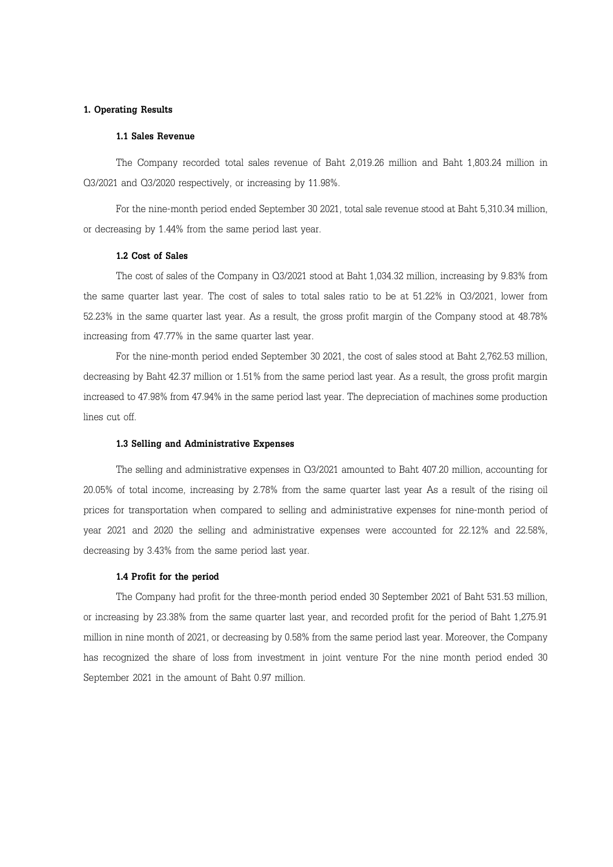# 1. Operating Results

#### 1.1 Sales Revenue

The Company recorded total sales revenue of Baht 2,019.26 million and Baht 1,803.24 million in Q3/2021 and Q3/2020 respectively, or increasing by 11.98%.

For the nine-month period ended September 30 2021, total sale revenue stood at Baht 5,310.34 million, or decreasing by 1.44% from the same period last year.

#### 1.2 Cost of Sales

The cost of sales of the Company in Q3/2021 stood at Baht 1,034.32 million, increasing by 9.83% from the same quarter last year. The cost of sales to total sales ratio to be at 51.22% in Q3/2021, lower from 52.23% in the same quarter last year. As a result, the gross profit margin of the Company stood at 48.78% increasing from 47.77% in the same quarter last year.

For the nine-month period ended September 30 2021, the cost of sales stood at Baht 2,762.53 million, decreasing by Baht 42.37 million or 1.51% from the same period last year. As a result, the gross profit margin increased to 47.98% from 47.94% in the same period last year. The depreciation of machines some production lines cut off.

#### 1.3 Selling and Administrative Expenses

The selling and administrative expenses in Q3/2021 amounted to Baht 407.20 million, accounting for 20.05% of total income, increasing by 2.78% from the same quarter last year As a result of the rising oil prices for transportation when compared to selling and administrative expenses for nine-month period of year 2021 and 2020 the selling and administrative expenses were accounted for 22.12% and 22.58%, decreasing by 3.43% from the same period last year.

#### 1.4 Profit for the period

The Company had profit for the three-month period ended 30 September 2021 of Baht 531.53 million, or increasing by 23.38% from the same quarter last year, and recorded profit for the period of Baht 1,275.91 million in nine month of 2021, or decreasing by 0.58% from the same period last year. Moreover, the Company has recognized the share of loss from investment in joint venture For the nine month period ended 30 September 2021 in the amount of Baht 0.97 million.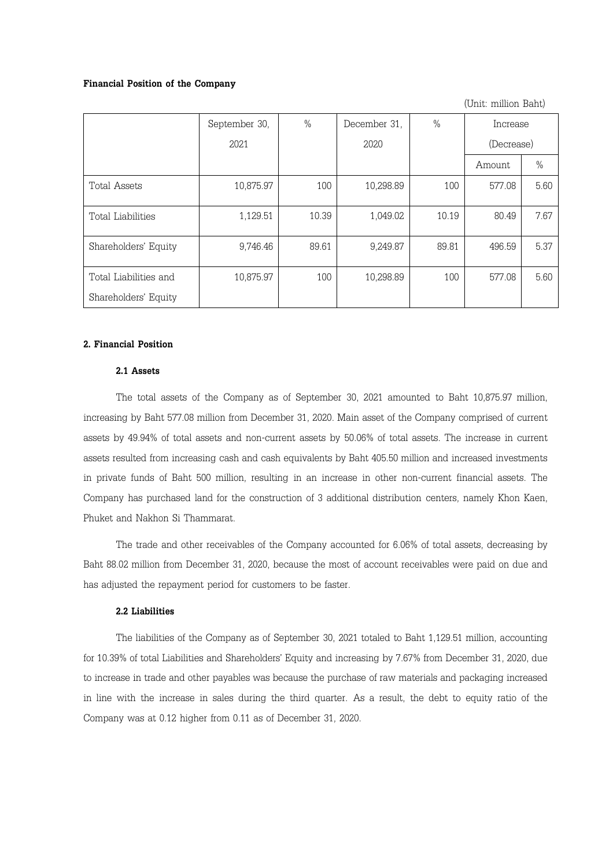#### Financial Position of the Company

(Unit: million Baht)

|                       | September 30, | $\%$  | December 31, | $\frac{0}{0}$ | Increase   |      |
|-----------------------|---------------|-------|--------------|---------------|------------|------|
|                       | 2021          |       | 2020         |               | (Decrease) |      |
|                       |               |       |              |               | Amount     | $\%$ |
| Total Assets          | 10,875.97     | 100   | 10,298.89    | 100           | 577.08     | 5.60 |
| Total Liabilities     | 1,129.51      | 10.39 | 1,049.02     | 10.19         | 80.49      | 7.67 |
| Shareholders' Equity  | 9,746.46      | 89.61 | 9,249.87     | 89.81         | 496.59     | 5.37 |
| Total Liabilities and | 10,875.97     | 100   | 10,298.89    | 100           | 577.08     | 5.60 |
| Shareholders' Equity  |               |       |              |               |            |      |

# 2. Financial Position

## 2.1 Assets

The total assets of the Company as of September 30, 2021 amounted to Baht 10,875.97 million, increasing by Baht 577.08 million from December 31, 2020. Main asset of the Company comprised of current assets by 49.94% of total assets and non-current assets by 50.06% of total assets. The increase in current assets resulted from increasing cash and cash equivalents by Baht 405.50 million and increased investments in private funds of Baht 500 million, resulting in an increase in other non-current financial assets. The Company has purchased land for the construction of 3 additional distribution centers, namely Khon Kaen, Phuket and Nakhon Si Thammarat.

The trade and other receivables of the Company accounted for 6.06% of total assets, decreasing by Baht 88.02 million from December 31, 2020, because the most of account receivables were paid on due and has adjusted the repayment period for customers to be faster.

## 2.2 Liabilities

The liabilities of the Company as of September 30, 2021 totaled to Baht 1,129.51 million, accounting for 10.39% of total Liabilities and Shareholders' Equity and increasing by 7.67% from December 31, 2020, due to increase in trade and other payables was because the purchase of raw materials and packaging increased in line with the increase in sales during the third quarter. As a result, the debt to equity ratio of the Company was at 0.12 higher from 0.11 as of December 31, 2020.